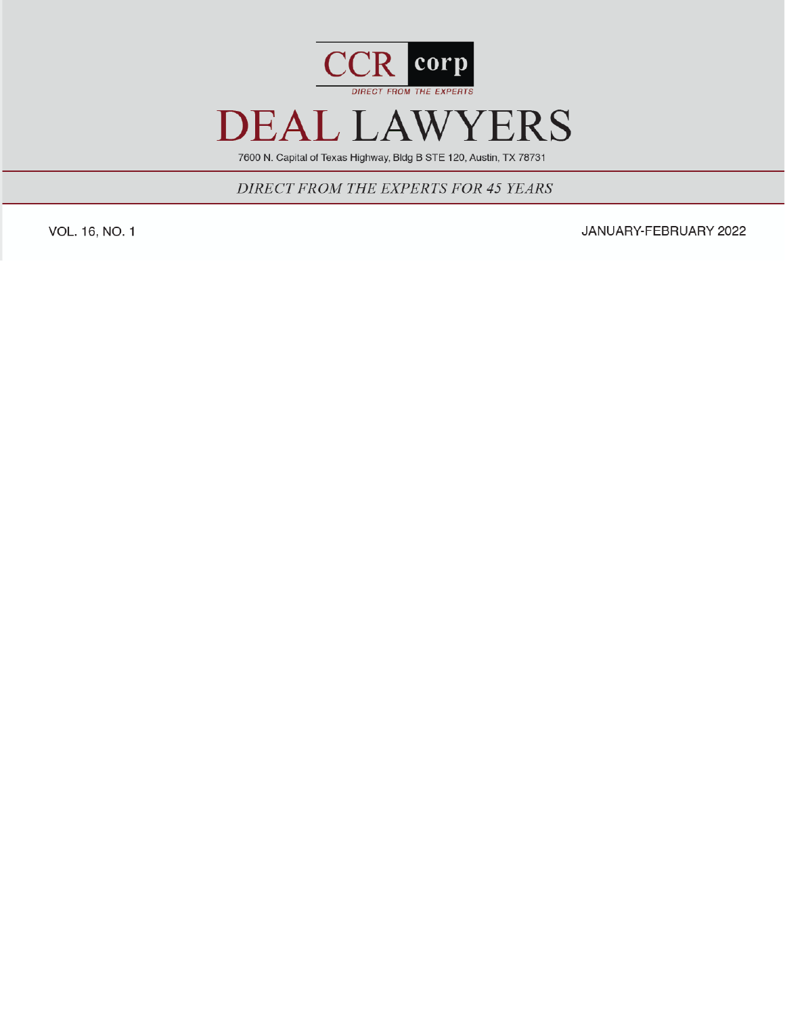

7600 N. Capital of Texas Highway, Bldg B STE 120, Austin, TX 78731

DIRECT FROM THE EXPERTS FOR 45 YEARS

VOL. 16, NO. 1

JANUARY-FEBRUARY 2022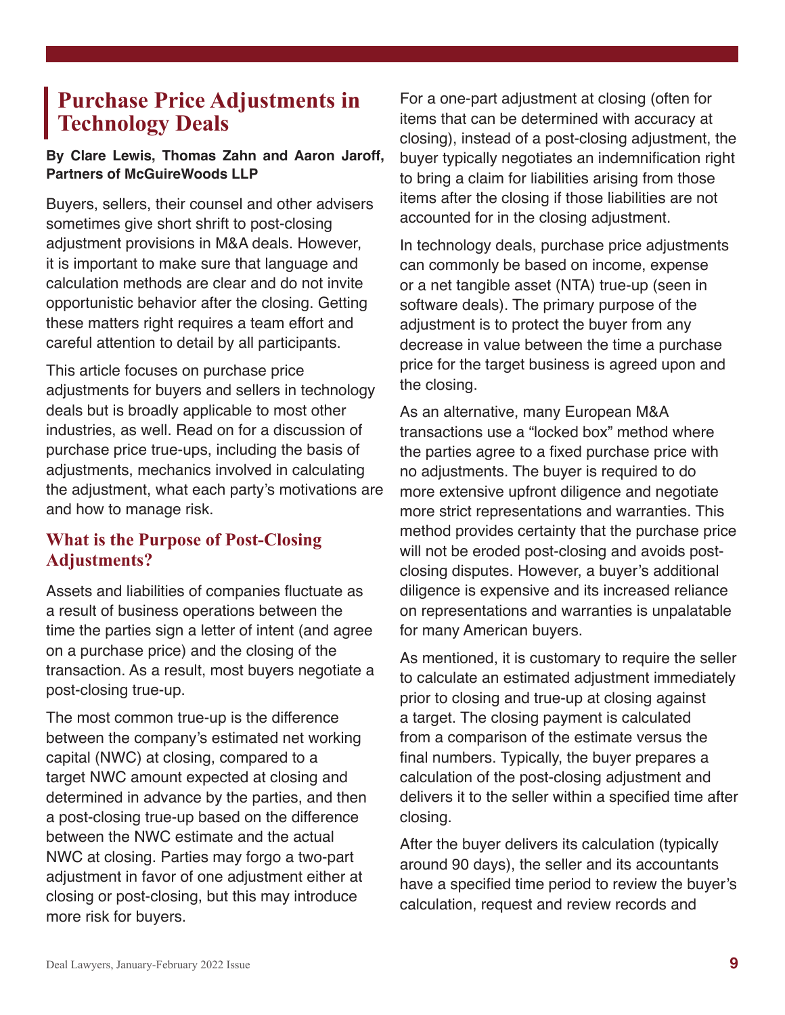# **Purchase Price Adjustments in Technology Deals**

#### **By Clare Lewis, Thomas Zahn and Aaron Jaroff, Partners of McGuireWoods LLP**

Buyers, sellers, their counsel and other advisers sometimes give short shrift to post-closing adjustment provisions in M&A deals. However, it is important to make sure that language and calculation methods are clear and do not invite opportunistic behavior after the closing. Getting these matters right requires a team effort and careful attention to detail by all participants.

This article focuses on purchase price adjustments for buyers and sellers in technology deals but is broadly applicable to most other industries, as well. Read on for a discussion of purchase price true-ups, including the basis of adjustments, mechanics involved in calculating the adjustment, what each party's motivations are and how to manage risk.

#### **What is the Purpose of Post-Closing Adjustments?**

Assets and liabilities of companies fluctuate as a result of business operations between the time the parties sign a letter of intent (and agree on a purchase price) and the closing of the transaction. As a result, most buyers negotiate a post-closing true-up.

The most common true-up is the difference between the company's estimated net working capital (NWC) at closing, compared to a target NWC amount expected at closing and determined in advance by the parties, and then a post-closing true-up based on the difference between the NWC estimate and the actual NWC at closing. Parties may forgo a two-part adjustment in favor of one adjustment either at closing or post-closing, but this may introduce more risk for buyers.

For a one-part adjustment at closing (often for items that can be determined with accuracy at closing), instead of a post-closing adjustment, the buyer typically negotiates an indemnification right to bring a claim for liabilities arising from those items after the closing if those liabilities are not accounted for in the closing adjustment.

In technology deals, purchase price adjustments can commonly be based on income, expense or a net tangible asset (NTA) true-up (seen in software deals). The primary purpose of the adjustment is to protect the buyer from any decrease in value between the time a purchase price for the target business is agreed upon and the closing.

As an alternative, many European M&A transactions use a "locked box" method where the parties agree to a fixed purchase price with no adjustments. The buyer is required to do more extensive upfront diligence and negotiate more strict representations and warranties. This method provides certainty that the purchase price will not be eroded post-closing and avoids postclosing disputes. However, a buyer's additional diligence is expensive and its increased reliance on representations and warranties is unpalatable for many American buyers.

As mentioned, it is customary to require the seller to calculate an estimated adjustment immediately prior to closing and true-up at closing against a target. The closing payment is calculated from a comparison of the estimate versus the final numbers. Typically, the buyer prepares a calculation of the post-closing adjustment and delivers it to the seller within a specified time after closing.

After the buyer delivers its calculation (typically around 90 days), the seller and its accountants have a specified time period to review the buyer's calculation, request and review records and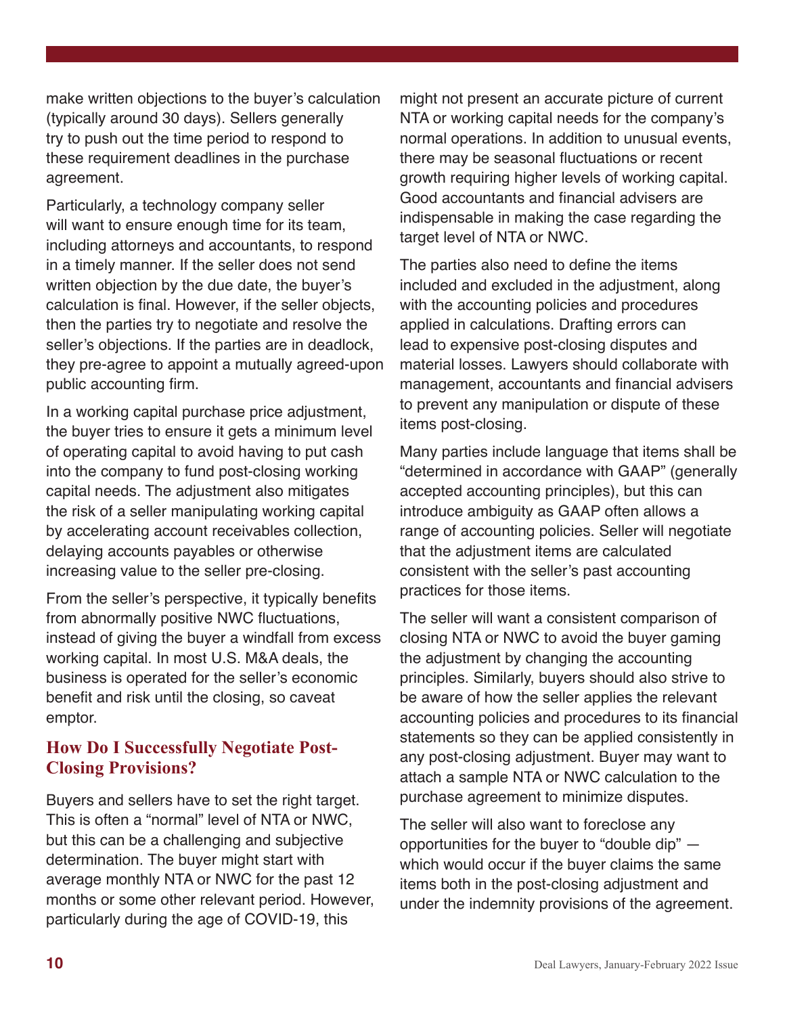make written objections to the buyer's calculation (typically around 30 days). Sellers generally try to push out the time period to respond to these requirement deadlines in the purchase agreement.

Particularly, a technology company seller will want to ensure enough time for its team, including attorneys and accountants, to respond in a timely manner. If the seller does not send written objection by the due date, the buyer's calculation is final. However, if the seller objects, then the parties try to negotiate and resolve the seller's objections. If the parties are in deadlock, they pre-agree to appoint a mutually agreed-upon public accounting firm.

In a working capital purchase price adjustment, the buyer tries to ensure it gets a minimum level of operating capital to avoid having to put cash into the company to fund post-closing working capital needs. The adjustment also mitigates the risk of a seller manipulating working capital by accelerating account receivables collection, delaying accounts payables or otherwise increasing value to the seller pre-closing.

From the seller's perspective, it typically benefits from abnormally positive NWC fluctuations, instead of giving the buyer a windfall from excess working capital. In most U.S. M&A deals, the business is operated for the seller's economic benefit and risk until the closing, so caveat emptor.

## **How Do I Successfully Negotiate Post-Closing Provisions?**

Buyers and sellers have to set the right target. This is often a "normal" level of NTA or NWC, but this can be a challenging and subjective determination. The buyer might start with average monthly NTA or NWC for the past 12 months or some other relevant period. However, particularly during the age of COVID-19, this

might not present an accurate picture of current NTA or working capital needs for the company's normal operations. In addition to unusual events, there may be seasonal fluctuations or recent growth requiring higher levels of working capital. Good accountants and financial advisers are indispensable in making the case regarding the target level of NTA or NWC.

The parties also need to define the items included and excluded in the adjustment, along with the accounting policies and procedures applied in calculations. Drafting errors can lead to expensive post-closing disputes and material losses. Lawyers should collaborate with management, accountants and financial advisers to prevent any manipulation or dispute of these items post-closing.

Many parties include language that items shall be "determined in accordance with GAAP" (generally accepted accounting principles), but this can introduce ambiguity as GAAP often allows a range of accounting policies. Seller will negotiate that the adjustment items are calculated consistent with the seller's past accounting practices for those items.

The seller will want a consistent comparison of closing NTA or NWC to avoid the buyer gaming the adjustment by changing the accounting principles. Similarly, buyers should also strive to be aware of how the seller applies the relevant accounting policies and procedures to its financial statements so they can be applied consistently in any post-closing adjustment. Buyer may want to attach a sample NTA or NWC calculation to the purchase agreement to minimize disputes.

The seller will also want to foreclose any opportunities for the buyer to "double dip" which would occur if the buyer claims the same items both in the post-closing adjustment and under the indemnity provisions of the agreement.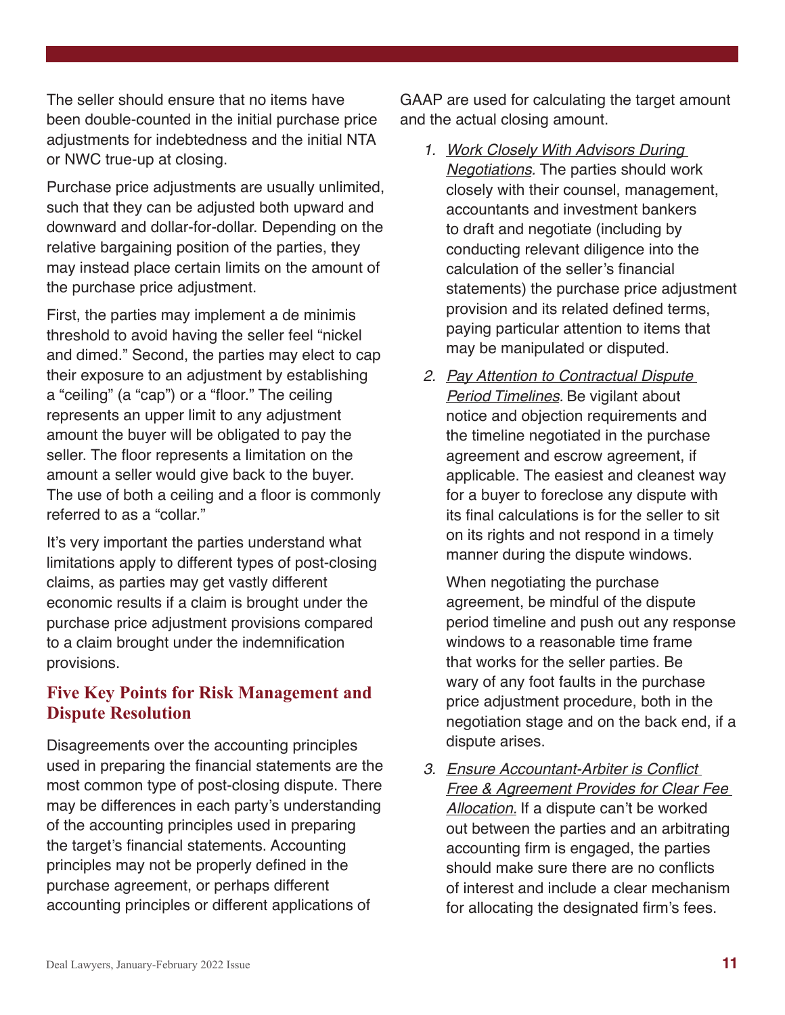The seller should ensure that no items have been double-counted in the initial purchase price adjustments for indebtedness and the initial NTA or NWC true-up at closing.

Purchase price adjustments are usually unlimited, such that they can be adjusted both upward and downward and dollar-for-dollar. Depending on the relative bargaining position of the parties, they may instead place certain limits on the amount of the purchase price adjustment.

First, the parties may implement a de minimis threshold to avoid having the seller feel "nickel and dimed." Second, the parties may elect to cap their exposure to an adjustment by establishing a "ceiling" (a "cap") or a "floor." The ceiling represents an upper limit to any adjustment amount the buyer will be obligated to pay the seller. The floor represents a limitation on the amount a seller would give back to the buyer. The use of both a ceiling and a floor is commonly referred to as a "collar."

It's very important the parties understand what limitations apply to different types of post-closing claims, as parties may get vastly different economic results if a claim is brought under the purchase price adjustment provisions compared to a claim brought under the indemnification provisions.

## **Five Key Points for Risk Management and Dispute Resolution**

Disagreements over the accounting principles used in preparing the financial statements are the most common type of post-closing dispute. There may be differences in each party's understanding of the accounting principles used in preparing the target's financial statements. Accounting principles may not be properly defined in the purchase agreement, or perhaps different accounting principles or different applications of

GAAP are used for calculating the target amount and the actual closing amount.

- 1. Work Closely With Advisors During Negotiations. The parties should work closely with their counsel, management, accountants and investment bankers to draft and negotiate (including by conducting relevant diligence into the calculation of the seller's financial statements) the purchase price adjustment provision and its related defined terms, paying particular attention to items that may be manipulated or disputed.
- 2. Pay Attention to Contractual Dispute **Period Timelines.** Be vigilant about notice and objection requirements and the timeline negotiated in the purchase agreement and escrow agreement, if applicable. The easiest and cleanest way for a buyer to foreclose any dispute with its final calculations is for the seller to sit on its rights and not respond in a timely manner during the dispute windows.

When negotiating the purchase agreement, be mindful of the dispute period timeline and push out any response windows to a reasonable time frame that works for the seller parties. Be wary of any foot faults in the purchase price adjustment procedure, both in the negotiation stage and on the back end, if a dispute arises.

3. Ensure Accountant-Arbiter is Conflict **Free & Agreement Provides for Clear Fee** Allocation. If a dispute can't be worked out between the parties and an arbitrating accounting firm is engaged, the parties should make sure there are no conflicts of interest and include a clear mechanism for allocating the designated firm's fees.